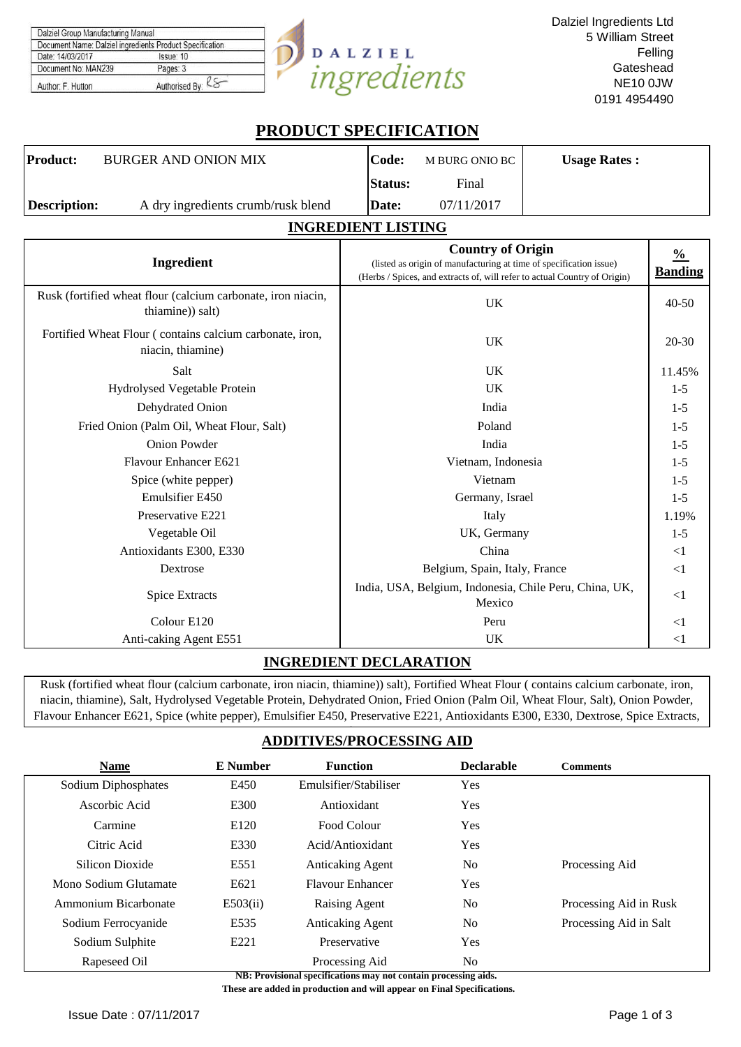| Dalziel Group Manufacturing Manual                       |                |           |
|----------------------------------------------------------|----------------|-----------|
| Document Name: Dalziel ingredients Product Specification |                |           |
| Date: 14/03/2017                                         | Issue: 10      | DALZIEL   |
| Document No: MAN239                                      | Pages: 3       |           |
| Author: F. Hutton                                        | Authorised By: | ronipriis |

# **PRODUCT SPECIFICATION**

| Product:            | BURGER AND ONION MIX               | Code:          | M BURG ONIO BC | <b>Usage Rates:</b> |
|---------------------|------------------------------------|----------------|----------------|---------------------|
|                     |                                    | <b>Status:</b> | Final          |                     |
| <b>Description:</b> | A dry ingredients crumb/rusk blend | Date:          | 07/11/2017     |                     |

## **INGREDIENT LISTING**

| Ingredient                                                                       | <b>Country of Origin</b><br>(listed as origin of manufacturing at time of specification issue)<br>(Herbs / Spices, and extracts of, will refer to actual Country of Origin) | $\frac{0}{0}$<br><b>Banding</b> |
|----------------------------------------------------------------------------------|-----------------------------------------------------------------------------------------------------------------------------------------------------------------------------|---------------------------------|
| Rusk (fortified wheat flour (calcium carbonate, iron niacin,<br>thiamine)) salt) | <b>UK</b>                                                                                                                                                                   | $40 - 50$                       |
| Fortified Wheat Flour (contains calcium carbonate, iron,<br>niacin, thiamine)    | <b>UK</b>                                                                                                                                                                   | $20 - 30$                       |
| Salt                                                                             | <b>UK</b>                                                                                                                                                                   | 11.45%                          |
| Hydrolysed Vegetable Protein                                                     | <b>UK</b>                                                                                                                                                                   | $1-5$                           |
| Dehydrated Onion                                                                 | India                                                                                                                                                                       | $1-5$                           |
| Fried Onion (Palm Oil, Wheat Flour, Salt)                                        | Poland                                                                                                                                                                      | $1-5$                           |
| <b>Onion Powder</b>                                                              | India                                                                                                                                                                       | $1-5$                           |
| Flavour Enhancer E621                                                            | Vietnam, Indonesia                                                                                                                                                          | $1-5$                           |
| Spice (white pepper)                                                             | Vietnam                                                                                                                                                                     | $1-5$                           |
| Emulsifier E450                                                                  | Germany, Israel                                                                                                                                                             | $1-5$                           |
| Preservative E221                                                                | Italy                                                                                                                                                                       | 1.19%                           |
| Vegetable Oil                                                                    | UK, Germany                                                                                                                                                                 | $1-5$                           |
| Antioxidants E300, E330                                                          | China                                                                                                                                                                       | $\leq$ 1                        |
| Dextrose                                                                         | Belgium, Spain, Italy, France                                                                                                                                               | $\leq$ 1                        |
| <b>Spice Extracts</b>                                                            | India, USA, Belgium, Indonesia, Chile Peru, China, UK,<br>Mexico                                                                                                            | $<$ 1                           |
| Colour E120                                                                      | Peru                                                                                                                                                                        | $<$ 1                           |
| Anti-caking Agent E551                                                           | UK                                                                                                                                                                          | $<$ 1                           |

### **INGREDIENT DECLARATION**

Rusk (fortified wheat flour (calcium carbonate, iron niacin, thiamine)) salt), Fortified Wheat Flour ( contains calcium carbonate, iron, niacin, thiamine), Salt, Hydrolysed Vegetable Protein, Dehydrated Onion, Fried Onion (Palm Oil, Wheat Flour, Salt), Onion Powder, Flavour Enhancer E621, Spice (white pepper), Emulsifier E450, Preservative E221, Antioxidants E300, E330, Dextrose, Spice Extracts,

# **ADDITIVES/PROCESSING AID**

| <b>Name</b>           | E Number         | <b>Function</b>         | <b>Declarable</b> | <b>Comments</b>        |
|-----------------------|------------------|-------------------------|-------------------|------------------------|
| Sodium Diphosphates   | E450             | Emulsifier/Stabiliser   | Yes               |                        |
| Ascorbic Acid         | E300             | Antioxidant             | Yes               |                        |
| Carmine               | E <sub>120</sub> | Food Colour             | <b>Yes</b>        |                        |
| Citric Acid           | E330             | Acid/Antioxidant        | Yes               |                        |
| Silicon Dioxide       | E551             | <b>Anticaking Agent</b> | N <sub>o</sub>    | Processing Aid         |
| Mono Sodium Glutamate | E621             | <b>Flavour Enhancer</b> | <b>Yes</b>        |                        |
| Ammonium Bicarbonate  | E503(ii)         | Raising Agent           | N <sub>0</sub>    | Processing Aid in Rusk |
| Sodium Ferrocyanide   | E535             | <b>Anticaking Agent</b> | N <sub>0</sub>    | Processing Aid in Salt |
| Sodium Sulphite       | E <sub>221</sub> | Preservative            | Yes               |                        |
| Rapeseed Oil          |                  | Processing Aid          | No                |                        |

**NB: Provisional specifications may not contain processing aids.** 

 **These are added in production and will appear on Final Specifications.**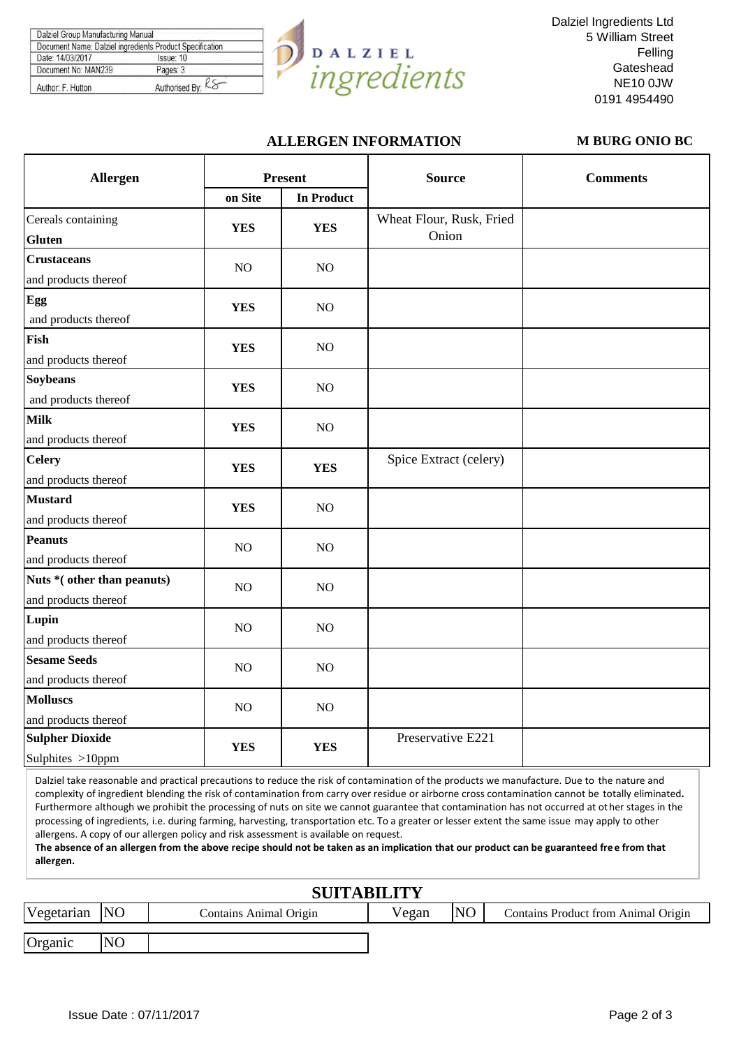|                     | Document Name: Dalziel ingredients Product Specification |
|---------------------|----------------------------------------------------------|
| Date: 14/03/2017    | Issue: 10                                                |
| Document No: MAN239 | Pages: 3                                                 |



Dalziel Ingredients Ltd 5 William Street Felling **Gateshead** NE10 0JW 0191 4954490

### **ALLERGEN INFORMATION M BURG ONIO BC**

| Allergen                                            | <b>Present</b> |                   | <b>Source</b>                     | <b>Comments</b> |
|-----------------------------------------------------|----------------|-------------------|-----------------------------------|-----------------|
|                                                     | on Site        | <b>In Product</b> |                                   |                 |
| Cereals containing<br><b>Gluten</b>                 | <b>YES</b>     | <b>YES</b>        | Wheat Flour, Rusk, Fried<br>Onion |                 |
| <b>Crustaceans</b><br>and products thereof          | $NO$           | $NO$              |                                   |                 |
| Egg<br>and products thereof                         | <b>YES</b>     | NO                |                                   |                 |
| Fish<br>and products thereof                        | <b>YES</b>     | NO                |                                   |                 |
| <b>Soybeans</b><br>and products thereof             | <b>YES</b>     | $NO$              |                                   |                 |
| <b>Milk</b><br>and products thereof                 | <b>YES</b>     | $NO$              |                                   |                 |
| <b>Celery</b><br>and products thereof               | <b>YES</b>     | <b>YES</b>        | Spice Extract (celery)            |                 |
| <b>Mustard</b><br>and products thereof              | <b>YES</b>     | NO                |                                   |                 |
| <b>Peanuts</b><br>and products thereof              | NO             | NO                |                                   |                 |
| Nuts * (other than peanuts)<br>and products thereof | N <sub>O</sub> | NO                |                                   |                 |
| Lupin<br>and products thereof                       | NO             | $NO$              |                                   |                 |
| <b>Sesame Seeds</b><br>and products thereof         | NO             | $\rm NO$          |                                   |                 |
| <b>Molluscs</b><br>and products thereof             | N <sub>O</sub> | NO                |                                   |                 |
| <b>Sulpher Dioxide</b><br>Sulphites >10ppm          | <b>YES</b>     | <b>YES</b>        | Preservative E221                 |                 |

Dalziel take reasonable and practical precautions to reduce the risk of contamination of the products we manufacture. Due to the nature and complexity of ingredient blending the risk of contamination from carry over residue or airborne cross contamination cannot be totally eliminated**.**  Furthermore although we prohibit the processing of nuts on site we cannot guarantee that contamination has not occurred at other stages in the processing of ingredients, i.e. during farming, harvesting, transportation etc. To a greater or lesser extent the same issue may apply to other allergens. A copy of our allergen policy and risk assessment is available on request.

**The absence of an allergen from the above recipe should not be taken as an implication that our product can be guaranteed free from that allergen.**

| <b>SUITABILITY</b> |                |                        |       |                |                                     |  |  |  |
|--------------------|----------------|------------------------|-------|----------------|-------------------------------------|--|--|--|
| Vegetarian         | <b>NO</b>      | Contains Animal Origin | Vegan | N <sub>O</sub> | Contains Product from Animal Origin |  |  |  |
| Organic            | N <sub>O</sub> |                        |       |                |                                     |  |  |  |